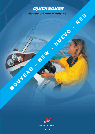



www.marinepower.com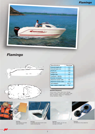### *Flamingo*



# *Flamingo*





| <b>Specifications</b>     | Flamingo       |
|---------------------------|----------------|
| Overall length (m)        | 5.15           |
| Overall beam (m)          | 2.28           |
| Draft (m)                 | 0.33           |
| Height (m)                | 1.40           |
| Weight (kg)               | 570            |
| <b>Cushions - Berths</b>  | $\mathfrak{p}$ |
| <b>Number of people</b>   | 5              |
| <b>Maximum power (HP)</b> | 90             |
| <b>Maximum power (kW)</b> | 67             |
| <b>CE</b> category        | $CF-"C"$       |
| Max. engine weight (kg)   | 145            |
|                           |                |

#### *Standard Equipment*

Anchor Locker • Pulpit • Bench Seat • Storage<br>Lockers • Cushions - Berths • Swim Ladder • Grab<br>Rails • Windshield • Bilge Pump • Rodholders •<br>Cockpit Upholstery • Cleats





**Flamingo.** Extra storage is provided under the V-berth.



**Flamingo.** A standard well placed anchor locker makes anchoring easy.



**Flamingo.** With two V-berths, you can even overnight on this boat.



**Flamingo.** The fisherman is fully catered for.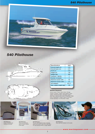

## *540 Pilothouse*



| <b>Specifications</b>     | 540           |
|---------------------------|---------------|
| Overall length (m)        | 5.45          |
| Overall beam (m)          | 2.47          |
| Draft (m)                 | 0.42          |
| Height (m)                | 1.90          |
| Weight (kg)               | 850           |
| <b>Cushions - Berths</b>  | 2             |
| <b>Number of people</b>   | 5             |
| Maximum power (HP)        | 90            |
| <b>Maximum power (kW)</b> | 67            |
| <b>CE</b> category        | $CE$ -" $C$ " |
| Max. engine weight (kg)   | 185           |
|                           |               |

#### *Standard Equipment*

Anchor Locker • Pulpit • Bench Seat • Storage Lockers • Cushions - Berths • Bow Sheave • Swim Ladder • Windscreen Wiper • Navigation Lights • Grab Rails • Opening Deck Hatch • Windshield • Bilge Pump • Rodholders • Cooker • Built-in Fuel Tank • Cockpit Upholstery • Co-Pilot Seat • Cleats

Easy-opening ventilation for the cabin.



There is an exclusive, easy roll-down closure to the cabin.

A pair of V-berths are forward of the helm.